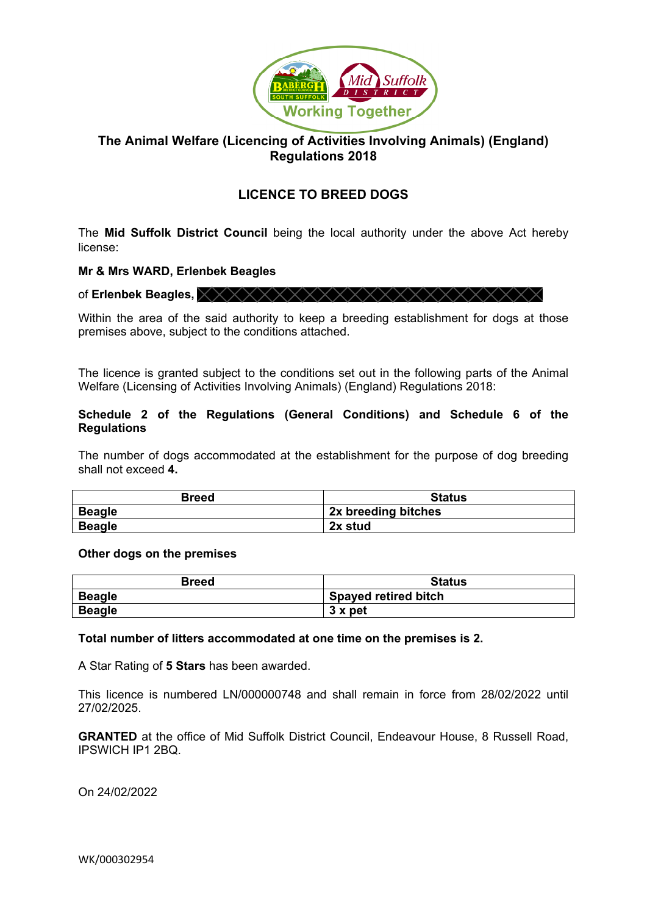

# **The Animal Welfare (Licencing of Activities Involving Animals) (England) Regulations 2018**

# **LICENCE TO BREED DOGS**

The **Mid Suffolk District Council** being the local authority under the above Act hereby license:

# **Mr & Mrs WARD, Erlenbek Beagles**

of **Erlenbek Beagles,**

Within the area of the said authority to keep a breeding establishment for dogs at those premises above, subject to the conditions attached.

The licence is granted subject to the conditions set out in the following parts of the Animal Welfare (Licensing of Activities Involving Animals) (England) Regulations 2018:

# **Schedule 2 of the Regulations (General Conditions) and Schedule 6 of the Regulations**

The number of dogs accommodated at the establishment for the purpose of dog breeding shall not exceed **4.**

| <b>Breed</b>  | <b>Status</b>       |
|---------------|---------------------|
| <b>Beagle</b> | 2x breeding bitches |
| <b>Beagle</b> | 2x stud             |

# **Other dogs on the premises**

| <b>Breed</b>  | <b>Status</b>               |
|---------------|-----------------------------|
| <b>Beagle</b> | <b>Spayed retired bitch</b> |
| <b>Beagle</b> | 3 x pet                     |

**Total number of litters accommodated at one time on the premises is 2.**

A Star Rating of **5 Stars** has been awarded.

This licence is numbered LN/000000748 and shall remain in force from 28/02/2022 until 27/02/2025.

**GRANTED** at the office of Mid Suffolk District Council, Endeavour House, 8 Russell Road, IPSWICH IP1 2BQ.

On 24/02/2022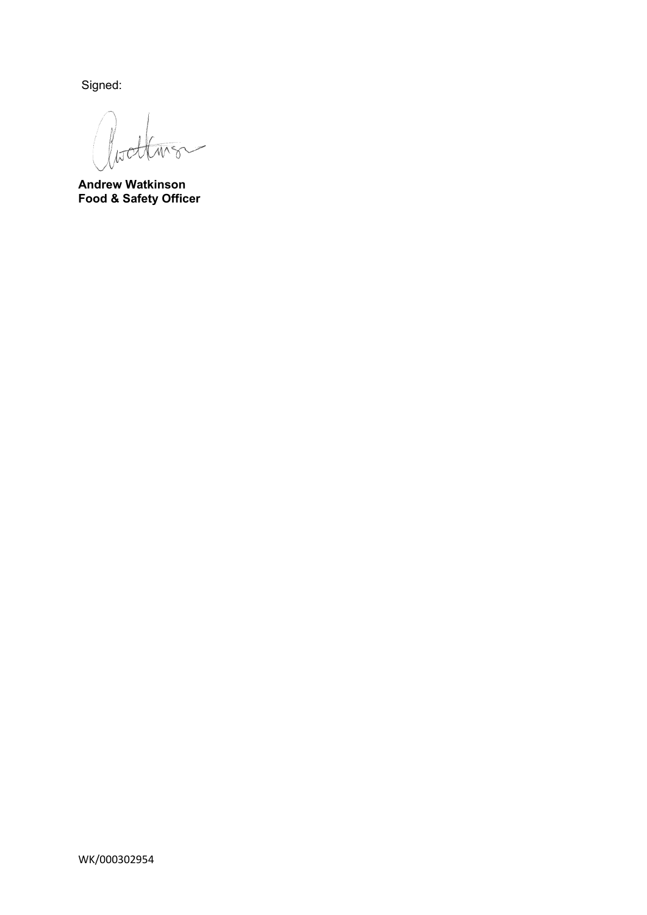Signed:

litet

**Andrew Watkinson Food & Safety Officer**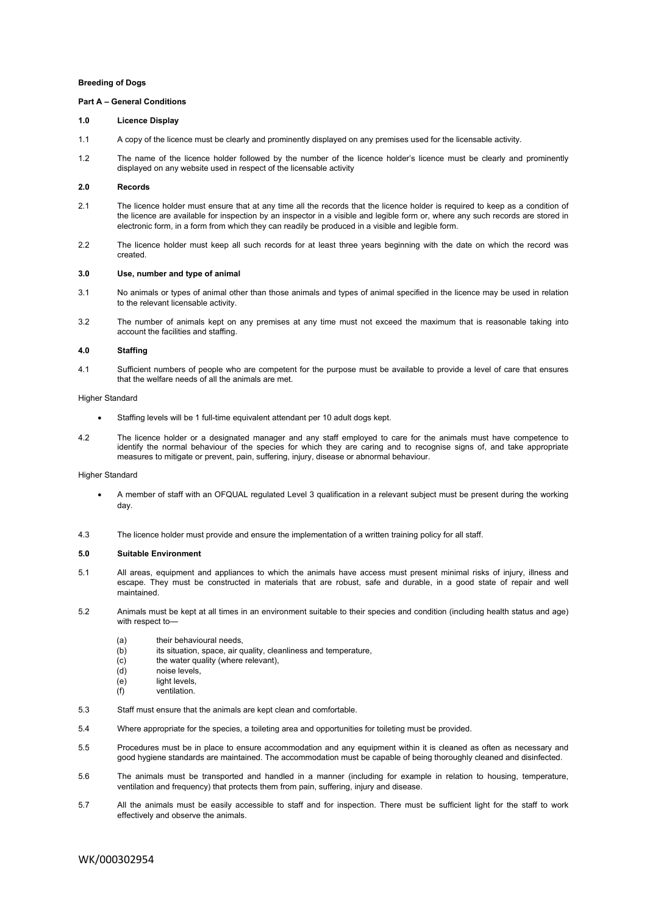# **Breeding of Dogs**

#### **Part A – General Conditions**

#### **1.0 Licence Display**

- 1.1 A copy of the licence must be clearly and prominently displayed on any premises used for the licensable activity.
- 1.2 The name of the licence holder followed by the number of the licence holder's licence must be clearly and prominently displayed on any website used in respect of the licensable activity

# **2.0 Records**

- 2.1 The licence holder must ensure that at any time all the records that the licence holder is required to keep as a condition of the licence are available for inspection by an inspector in a visible and legible form or, where any such records are stored in electronic form, in a form from which they can readily be produced in a visible and legible form.
- 2.2 The licence holder must keep all such records for at least three years beginning with the date on which the record was created.

## **3.0 Use, number and type of animal**

- 3.1 No animals or types of animal other than those animals and types of animal specified in the licence may be used in relation to the relevant licensable activity.
- 3.2 The number of animals kept on any premises at any time must not exceed the maximum that is reasonable taking into account the facilities and staffing.

# **4.0 Staffing**

4.1 Sufficient numbers of people who are competent for the purpose must be available to provide a level of care that ensures that the welfare needs of all the animals are met.

Higher Standard

- Staffing levels will be 1 full-time equivalent attendant per 10 adult dogs kept.
- 4.2 The licence holder or a designated manager and any staff employed to care for the animals must have competence to identify the normal behaviour of the species for which they are caring and to recognise signs of, and take appropriate measures to mitigate or prevent, pain, suffering, injury, disease or abnormal behaviour.

#### Higher Standard

- A member of staff with an OFQUAL regulated Level 3 qualification in a relevant subject must be present during the working day.
- 4.3 The licence holder must provide and ensure the implementation of a written training policy for all staff.

#### **5.0 Suitable Environment**

- 5.1 All areas, equipment and appliances to which the animals have access must present minimal risks of injury, illness and escape. They must be constructed in materials that are robust, safe and durable, in a good state of repair and well maintained.
- 5.2 Animals must be kept at all times in an environment suitable to their species and condition (including health status and age) with respect to—
	- (a) their behavioural needs,
	- (b) its situation, space, air quality, cleanliness and temperature,
	- (c) the water quality (where relevant),
	- (d) noise levels,
	- (e) light levels
	- (f) ventilation.
- 5.3 Staff must ensure that the animals are kept clean and comfortable.
- 5.4 Where appropriate for the species, a toileting area and opportunities for toileting must be provided.
- 5.5 Procedures must be in place to ensure accommodation and any equipment within it is cleaned as often as necessary and good hygiene standards are maintained. The accommodation must be capable of being thoroughly cleaned and disinfected.
- 5.6 The animals must be transported and handled in a manner (including for example in relation to housing, temperature, ventilation and frequency) that protects them from pain, suffering, injury and disease.
- 5.7 All the animals must be easily accessible to staff and for inspection. There must be sufficient light for the staff to work effectively and observe the animals.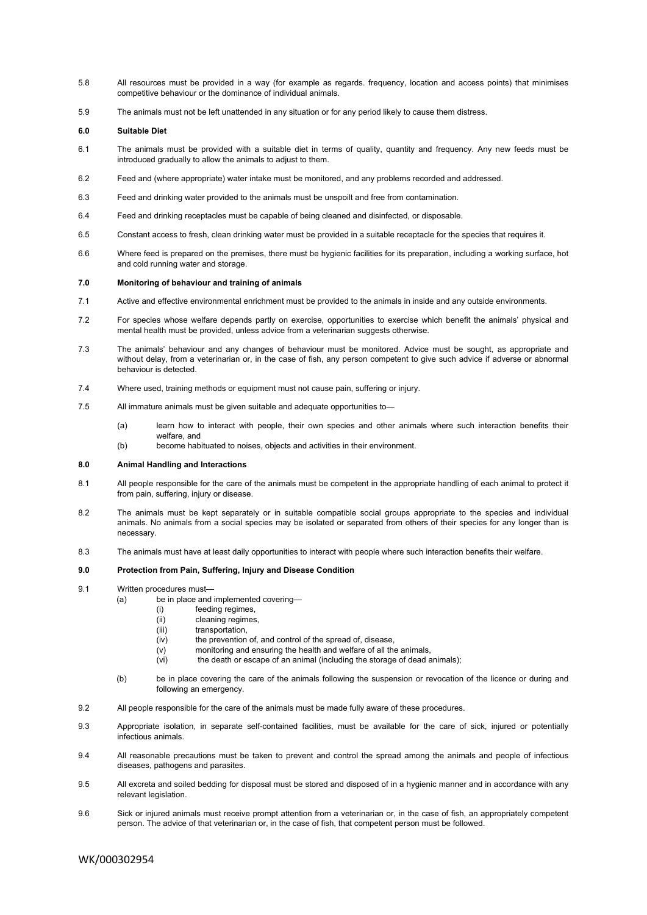- 5.8 All resources must be provided in a way (for example as regards. frequency, location and access points) that minimises competitive behaviour or the dominance of individual animals.
- 5.9 The animals must not be left unattended in any situation or for any period likely to cause them distress.

# **6.0 Suitable Diet**

- 6.1 The animals must be provided with a suitable diet in terms of quality, quantity and frequency. Any new feeds must be introduced gradually to allow the animals to adjust to them.
- 6.2 Feed and (where appropriate) water intake must be monitored, and any problems recorded and addressed.
- 6.3 Feed and drinking water provided to the animals must be unspoilt and free from contamination.
- 6.4 Feed and drinking receptacles must be capable of being cleaned and disinfected, or disposable.
- 6.5 Constant access to fresh, clean drinking water must be provided in a suitable receptacle for the species that requires it.
- 6.6 Where feed is prepared on the premises, there must be hygienic facilities for its preparation, including a working surface, hot and cold running water and storage.

#### **7.0 Monitoring of behaviour and training of animals**

- 7.1 Active and effective environmental enrichment must be provided to the animals in inside and any outside environments.
- 7.2 For species whose welfare depends partly on exercise, opportunities to exercise which benefit the animals' physical and mental health must be provided, unless advice from a veterinarian suggests otherwise.
- 7.3 The animals' behaviour and any changes of behaviour must be monitored. Advice must be sought, as appropriate and without delay, from a veterinarian or, in the case of fish, any person competent to give such advice if adverse or abnormal behaviour is detected.
- 7.4 Where used, training methods or equipment must not cause pain, suffering or injury.
- 7.5 All immature animals must be given suitable and adequate opportunities to—
	- (a) learn how to interact with people, their own species and other animals where such interaction benefits their welfare, and
	- (b) become habituated to noises, objects and activities in their environment.

# **8.0 Animal Handling and Interactions**

- 8.1 All people responsible for the care of the animals must be competent in the appropriate handling of each animal to protect it from pain, suffering, injury or disease.
- 8.2 The animals must be kept separately or in suitable compatible social groups appropriate to the species and individual animals. No animals from a social species may be isolated or separated from others of their species for any longer than is necessary.
- 8.3 The animals must have at least daily opportunities to interact with people where such interaction benefits their welfare.

# **9.0 Protection from Pain, Suffering, Injury and Disease Condition**

- 9.1 Written procedures must—
	- (a) be in place and implemented covering—
		- (i) feeding regimes,
		- (ii) cleaning regimes,
		- (iii) transportation,
		- (iv) the prevention of, and control of the spread of, disease,
		- (v) monitoring and ensuring the health and welfare of all the animals,
		- (vi) the death or escape of an animal (including the storage of dead animals);
	- (b) be in place covering the care of the animals following the suspension or revocation of the licence or during and following an emergency.
- 9.2 All people responsible for the care of the animals must be made fully aware of these procedures.
- 9.3 Appropriate isolation, in separate self-contained facilities, must be available for the care of sick, injured or potentially infectious animals.
- 9.4 All reasonable precautions must be taken to prevent and control the spread among the animals and people of infectious diseases, pathogens and parasites.
- 9.5 All excreta and soiled bedding for disposal must be stored and disposed of in a hygienic manner and in accordance with any relevant legislation.
- 9.6 Sick or injured animals must receive prompt attention from a veterinarian or, in the case of fish, an appropriately competent person. The advice of that veterinarian or, in the case of fish, that competent person must be followed.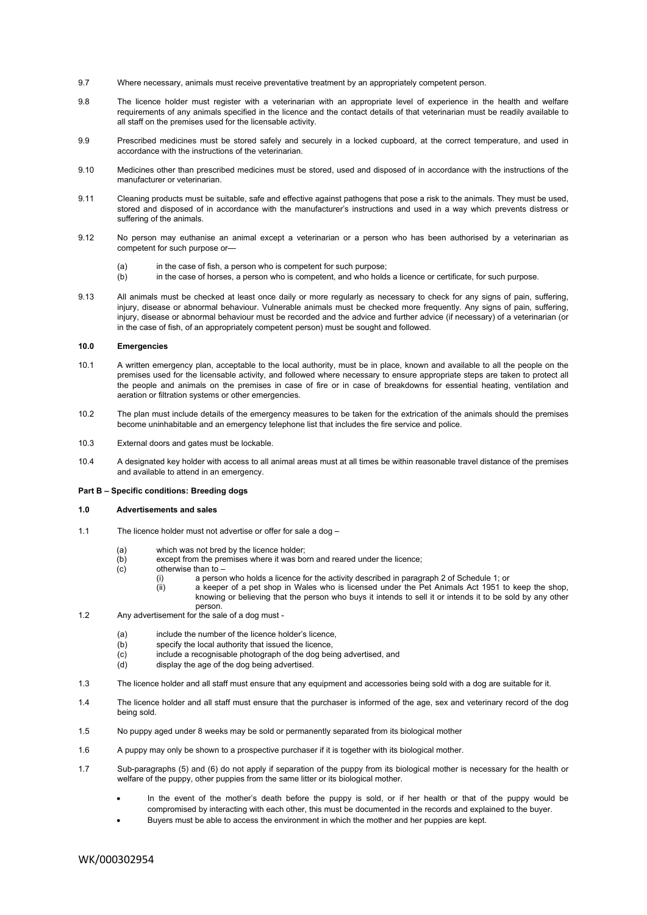- 9.7 Where necessary, animals must receive preventative treatment by an appropriately competent person.
- 9.8 The licence holder must register with a veterinarian with an appropriate level of experience in the health and welfare requirements of any animals specified in the licence and the contact details of that veterinarian must be readily available to all staff on the premises used for the licensable activity.
- 9.9 Prescribed medicines must be stored safely and securely in a locked cupboard, at the correct temperature, and used in accordance with the instructions of the veterinarian.
- 9.10 Medicines other than prescribed medicines must be stored, used and disposed of in accordance with the instructions of the manufacturer or veterinarian.
- 9.11 Cleaning products must be suitable, safe and effective against pathogens that pose a risk to the animals. They must be used, stored and disposed of in accordance with the manufacturer's instructions and used in a way which prevents distress or suffering of the animals.
- 9.12 No person may euthanise an animal except a veterinarian or a person who has been authorised by a veterinarian as competent for such purpose or—
	- (a) in the case of fish, a person who is competent for such purpose;
	- (b) in the case of horses, a person who is competent, and who holds a licence or certificate, for such purpose.
- 9.13 All animals must be checked at least once daily or more regularly as necessary to check for any signs of pain, suffering, injury, disease or abnormal behaviour. Vulnerable animals must be checked more frequently. Any signs of pain, suffering, injury, disease or abnormal behaviour must be recorded and the advice and further advice (if necessary) of a veterinarian (or in the case of fish, of an appropriately competent person) must be sought and followed.

# **10.0 Emergencies**

- 10.1 A written emergency plan, acceptable to the local authority, must be in place, known and available to all the people on the premises used for the licensable activity, and followed where necessary to ensure appropriate steps are taken to protect all the people and animals on the premises in case of fire or in case of breakdowns for essential heating, ventilation and aeration or filtration systems or other emergencies.
- 10.2 The plan must include details of the emergency measures to be taken for the extrication of the animals should the premises become uninhabitable and an emergency telephone list that includes the fire service and police.
- 10.3 External doors and gates must be lockable.
- 10.4 A designated key holder with access to all animal areas must at all times be within reasonable travel distance of the premises and available to attend in an emergency.

## **Part B – Specific conditions: Breeding dogs**

# **1.0 Advertisements and sales**

- 1.1 The licence holder must not advertise or offer for sale a dog
	-
	- (a) which was not bred by the licence holder;<br>(b) except from the premises where it was bo except from the premises where it was born and reared under the licence;
	- (c) otherwise than to
		- (i) a person who holds a licence for the activity described in paragraph 2 of Schedule 1; or a keeper of a pet shop in Wales who is licensed under the Pet Animals Act 1951 to
		- a keeper of a pet shop in Wales who is licensed under the Pet Animals Act 1951 to keep the shop, knowing or believing that the person who buys it intends to sell it or intends it to be sold by any other person.
- 1.2 Any advertisement for the sale of a dog must
	- (a) include the number of the licence holder's licence,
	- (b) specify the local authority that issued the licence,
	- (c) include a recognisable photograph of the dog being advertised, and
	- (d) display the age of the dog being advertised.
- 1.3 The licence holder and all staff must ensure that any equipment and accessories being sold with a dog are suitable for it.
- 1.4 The licence holder and all staff must ensure that the purchaser is informed of the age, sex and veterinary record of the dog being sold.
- 1.5 No puppy aged under 8 weeks may be sold or permanently separated from its biological mother
- 1.6 A puppy may only be shown to a prospective purchaser if it is together with its biological mother.
- 1.7 Sub-paragraphs (5) and (6) do not apply if separation of the puppy from its biological mother is necessary for the health or welfare of the puppy, other puppies from the same litter or its biological mother.
	- In the event of the mother's death before the puppy is sold, or if her health or that of the puppy would be compromised by interacting with each other, this must be documented in the records and explained to the buyer.
	- Buyers must be able to access the environment in which the mother and her puppies are kept.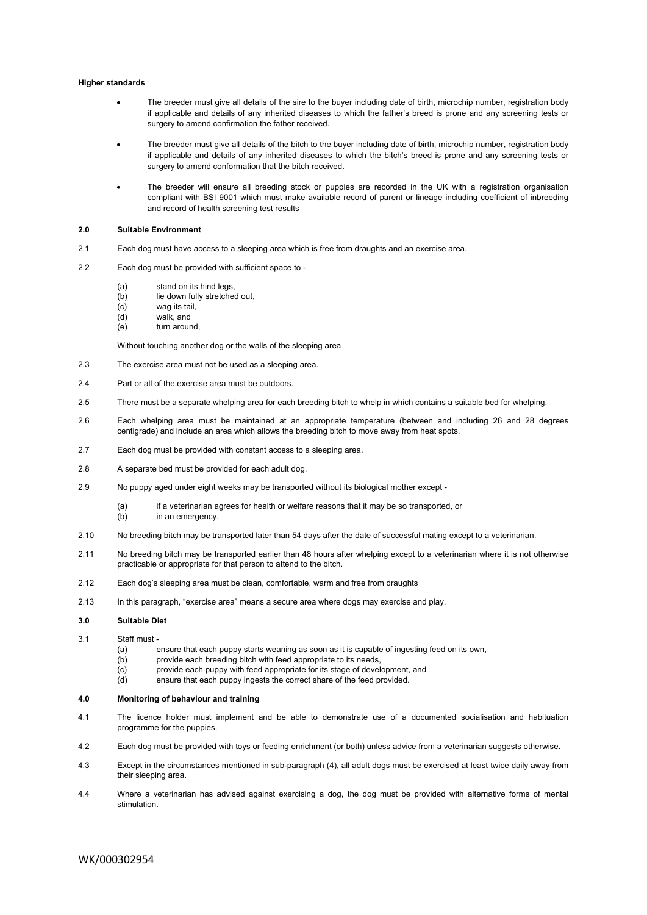#### **Higher standards**

- The breeder must give all details of the sire to the buyer including date of birth, microchip number, registration body if applicable and details of any inherited diseases to which the father's breed is prone and any screening tests or surgery to amend confirmation the father received.
- The breeder must give all details of the bitch to the buyer including date of birth, microchip number, registration body if applicable and details of any inherited diseases to which the bitch's breed is prone and any screening tests or surgery to amend conformation that the bitch received.
- The breeder will ensure all breeding stock or puppies are recorded in the UK with a registration organisation compliant with BSI 9001 which must make available record of parent or lineage including coefficient of inbreeding and record of health screening test results

### **2.0 Suitable Environment**

- 2.1 Each dog must have access to a sleeping area which is free from draughts and an exercise area.
- 2.2 Each dog must be provided with sufficient space to
	- (a) stand on its hind legs,
	- (b) lie down fully stretched out,
	- (c) wag its tail,
	- (d) walk, and
	- (e) turn around,

Without touching another dog or the walls of the sleeping area

- 2.3 The exercise area must not be used as a sleeping area.
- 2.4 Part or all of the exercise area must be outdoors.
- 2.5 There must be a separate whelping area for each breeding bitch to whelp in which contains a suitable bed for whelping.
- 2.6 Each whelping area must be maintained at an appropriate temperature (between and including 26 and 28 degrees centigrade) and include an area which allows the breeding bitch to move away from heat spots.
- 2.7 Each dog must be provided with constant access to a sleeping area.
- 2.8 A separate bed must be provided for each adult dog.
- 2.9 No puppy aged under eight weeks may be transported without its biological mother except
	- (a) if a veterinarian agrees for health or welfare reasons that it may be so transported, or
	- (b) in an emergency
- 2.10 No breeding bitch may be transported later than 54 days after the date of successful mating except to a veterinarian.
- 2.11 No breeding bitch may be transported earlier than 48 hours after whelping except to a veterinarian where it is not otherwise practicable or appropriate for that person to attend to the bitch.
- 2.12 Each dog's sleeping area must be clean, comfortable, warm and free from draughts
- 2.13 In this paragraph, "exercise area" means a secure area where dogs may exercise and play.

#### **3.0 Suitable Diet**

- 3.1 Staff must
	- (a) ensure that each puppy starts weaning as soon as it is capable of ingesting feed on its own,
	- (b) provide each breeding bitch with feed appropriate to its needs,
	- (c) provide each puppy with feed appropriate for its stage of development, and
	- (d) ensure that each puppy ingests the correct share of the feed provided.

## **4.0 Monitoring of behaviour and training**

- 4.1 The licence holder must implement and be able to demonstrate use of a documented socialisation and habituation programme for the puppies.
- 4.2 Each dog must be provided with toys or feeding enrichment (or both) unless advice from a veterinarian suggests otherwise.
- 4.3 Except in the circumstances mentioned in sub-paragraph (4), all adult dogs must be exercised at least twice daily away from their sleeping area.
- 4.4 Where a veterinarian has advised against exercising a dog, the dog must be provided with alternative forms of mental stimulation.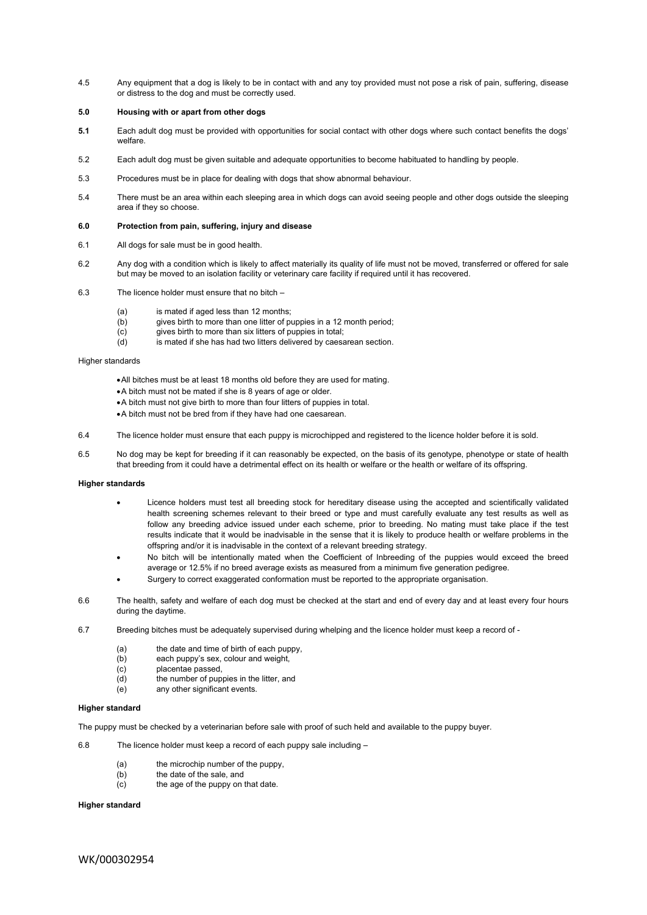4.5 Any equipment that a dog is likely to be in contact with and any toy provided must not pose a risk of pain, suffering, disease or distress to the dog and must be correctly used.

# **5.0 Housing with or apart from other dogs**

- **5.1** Each adult dog must be provided with opportunities for social contact with other dogs where such contact benefits the dogs' welfare.
- 5.2 Each adult dog must be given suitable and adequate opportunities to become habituated to handling by people.
- 5.3 Procedures must be in place for dealing with dogs that show abnormal behaviour.
- 5.4 There must be an area within each sleeping area in which dogs can avoid seeing people and other dogs outside the sleeping area if they so choose.

### **6.0 Protection from pain, suffering, injury and disease**

- 6.1 All dogs for sale must be in good health.
- 6.2 Any dog with a condition which is likely to affect materially its quality of life must not be moved, transferred or offered for sale but may be moved to an isolation facility or veterinary care facility if required until it has recovered.
- 6.3 The licence holder must ensure that no bitch
	- (a) is mated if aged less than 12 months;
	- (b) gives birth to more than one litter of puppies in a 12 month period;
	- (c) gives birth to more than six litters of puppies in total;
	- (d) is mated if she has had two litters delivered by caesarean section.

## Higher standards

- All bitches must be at least 18 months old before they are used for mating.
- A bitch must not be mated if she is 8 years of age or older.
- A bitch must not give birth to more than four litters of puppies in total.
- A bitch must not be bred from if they have had one caesarean.
- 6.4 The licence holder must ensure that each puppy is microchipped and registered to the licence holder before it is sold.
- 6.5 No dog may be kept for breeding if it can reasonably be expected, on the basis of its genotype, phenotype or state of health that breeding from it could have a detrimental effect on its health or welfare or the health or welfare of its offspring.

#### **Higher standards**

- Licence holders must test all breeding stock for hereditary disease using the accepted and scientifically validated health screening schemes relevant to their breed or type and must carefully evaluate any test results as well as follow any breeding advice issued under each scheme, prior to breeding. No mating must take place if the test results indicate that it would be inadvisable in the sense that it is likely to produce health or welfare problems in the offspring and/or it is inadvisable in the context of a relevant breeding strategy.
- No bitch will be intentionally mated when the Coefficient of Inbreeding of the puppies would exceed the breed average or 12.5% if no breed average exists as measured from a minimum five generation pedigree.
- Surgery to correct exaggerated conformation must be reported to the appropriate organisation.
- 6.6 The health, safety and welfare of each dog must be checked at the start and end of every day and at least every four hours during the daytime.
- 6.7 Breeding bitches must be adequately supervised during whelping and the licence holder must keep a record of
	- (a) the date and time of birth of each puppy,
	- (b) each puppy's sex, colour and weight,
	- (c) placentae passed,
	- (d) the number of puppies in the litter, and
	- (e) any other significant events.

# **Higher standard**

The puppy must be checked by a veterinarian before sale with proof of such held and available to the puppy buyer.

- 6.8 The licence holder must keep a record of each puppy sale including
	- (a) the microchip number of the puppy,
	- (b) the date of the sale, and
	- (c) the age of the puppy on that date.

#### **Higher standard**